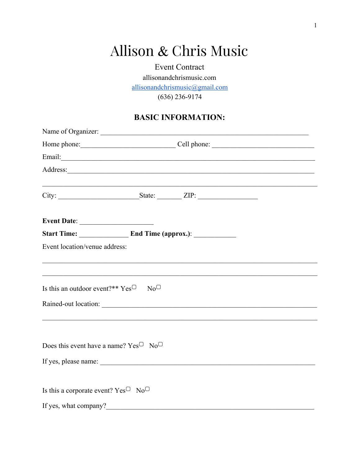# Allison & Chris Music

**Event Contract** allisonandchrismusic.com allisonandchrismusic@gmail.com  $(636)$  236-9174

# **BASIC INFORMATION:**

|                                                                         | Home phone: Cell phone: Cell phone: |  |
|-------------------------------------------------------------------------|-------------------------------------|--|
|                                                                         |                                     |  |
|                                                                         |                                     |  |
|                                                                         |                                     |  |
|                                                                         |                                     |  |
|                                                                         |                                     |  |
| Event location/venue address:                                           |                                     |  |
|                                                                         |                                     |  |
|                                                                         |                                     |  |
| Is this an outdoor event?** $Yes^{\Box}$ No                             |                                     |  |
|                                                                         |                                     |  |
|                                                                         |                                     |  |
|                                                                         |                                     |  |
| Does this event have a name? Yes <sup><math>\Box</math></sup> No $\Box$ |                                     |  |
|                                                                         | If yes, please name:                |  |
|                                                                         |                                     |  |
| Is this a corporate event? Yes <sup><math>\Box</math></sup> No $\Box$   |                                     |  |
| If yes, what company?                                                   |                                     |  |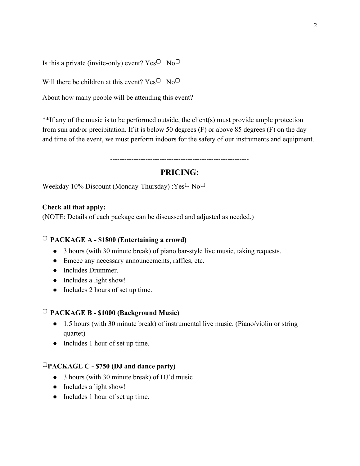Is this a private (invite-only) event?  $Yes^{\Box} No^{\Box}$ 

Will there be children at this event?  $Yes^{\Box} No^{\Box}$ 

About how many people will be attending this event?

\*\*If any of the music is to be performed outside, the client(s) must provide ample protection from sun and/or precipitation. If it is below 50 degrees (F) or above 85 degrees (F) on the day and time of the event, we must perform indoors for the safety of our instruments and equipment.

-----------------------------------------------------------

## **PRICING:**

Weekday 10% Discount (Monday-Thursday) : $Yes^{\Box}No^{\Box}$ 

#### **Check all that apply:**

(NOTE: Details of each package can be discussed and adjusted as needed.)

#### ▢ **PACKAGE A - \$1800 (Entertaining a crowd)**

- 3 hours (with 30 minute break) of piano bar-style live music, taking requests.
- Emcee any necessary announcements, raffles, etc.
- Includes Drummer.
- Includes a light show!
- Includes 2 hours of set up time.

#### ▢ **PACKAGE B - \$1000 (Background Music)**

- 1.5 hours (with 30 minute break) of instrumental live music. (Piano/violin or string quartet)
- Includes 1 hour of set up time.

#### ▢**PACKAGE C - \$750 (DJ and dance party)**

- 3 hours (with 30 minute break) of DJ'd music
- Includes a light show!
- Includes 1 hour of set up time.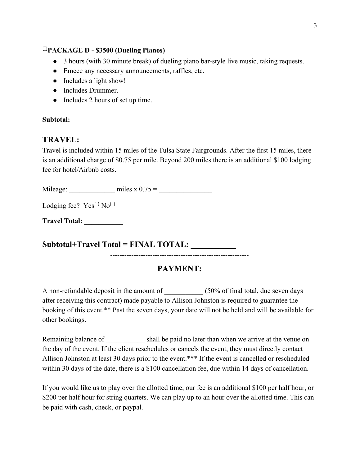#### ▢**PACKAGE D - \$3500 (Dueling Pianos)**

- 3 hours (with 30 minute break) of dueling piano bar-style live music, taking requests.
- Emcee any necessary announcements, raffles, etc.
- Includes a light show!
- Includes Drummer.
- Includes 2 hours of set up time.

**Subtotal: \_\_\_\_\_\_\_\_\_\_\_**

#### **TRAVEL:**

Travel is included within 15 miles of the Tulsa State Fairgrounds. After the first 15 miles, there is an additional charge of \$0.75 per mile. Beyond 200 miles there is an additional \$100 lodging fee for hotel/Airbnb costs.

Mileage:  $miles \times 0.75 =$ 

Lodging fee?  $Yes^{\Box}No^{\Box}$ 

**Travel Total: \_\_\_\_\_\_\_\_\_\_\_**

**Subtotal+Travel Total = FINAL TOTAL: \_\_\_\_\_\_\_\_\_\_\_**

-----------------------------------------------------------

### **PAYMENT:**

A non-refundable deposit in the amount of  $(50\%$  of final total, due seven days after receiving this contract) made payable to Allison Johnston is required to guarantee the booking of this event.\*\* Past the seven days, your date will not be held and will be available for other bookings.

Remaining balance of shall be paid no later than when we arrive at the venue on the day of the event. If the client reschedules or cancels the event, they must directly contact Allison Johnston at least 30 days prior to the event.\*\*\* If the event is cancelled or rescheduled within 30 days of the date, there is a \$100 cancellation fee, due within 14 days of cancellation.

If you would like us to play over the allotted time, our fee is an additional \$100 per half hour, or \$200 per half hour for string quartets. We can play up to an hour over the allotted time. This can be paid with cash, check, or paypal.